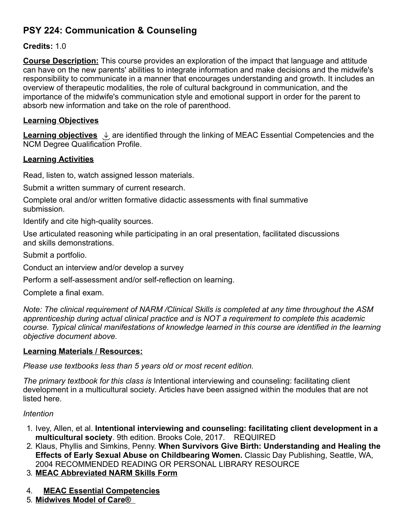# **PSY 224: Communication & Counseling**

## **Credits:** 1.0

**Course Description:** This course provides an exploration of the impact that language and attitude can have on the new parents' abilities to integrate information and make decisions and the midwife's responsibility to communicate in a manner that encourages understanding and growth. It includes an overview of therapeutic modalities, the role of cultural background in communication, and the importance of the midwife's communication style and emotional support in order for the parent to absorb new information and take on the role of parenthood.

## **Learning Objectives**

**[Learning objectives](https://ncm.instructure.com/courses/704/files/20100/download?wrap=1)**  $\downarrow$  are identified through the linking of MEAC Essential Competencies and the NCM Degree Qualification Profile.

## **Learning Activities**

Read, listen to, watch assigned lesson materials.

Submit a written summary of current research.

Complete oral and/or written formative didactic assessments with final summative submission.

Identify and cite high-quality sources.

Use articulated reasoning while participating in an oral presentation, facilitated discussions and skills demonstrations.

Submit a portfolio.

Conduct an interview and/or develop a survey

Perform a self-assessment and/or self-reflection on learning.

Complete a final exam.

*Note: The clinical requirement of NARM /Clinical Skills is completed at any time throughout the ASM apprenticeship during actual clinical practice and is NOT a requirement to complete this academic course. Typical clinical manifestations of knowledge learned in this course are identified in the learning objective document above.*

## **Learning Materials / Resources:**

*Please use textbooks less than 5 years old or most recent edition.*

*The primary textbook for this class is* Intentional interviewing and counseling: facilitating client development in a multicultural society. Articles have been assigned within the modules that are not listed here.

## *Intention*

- 1. Ivey, Allen, et al. **Intentional interviewing and counseling: facilitating client development in a multicultural society**. 9th edition. Brooks Cole, 2017. REQUIRED
- 2. Klaus, Phyllis and Simkins, Penny. **When Survivors Give Birth: Understanding and Healing the Effects of Early Sexual Abuse on Childbearing Women.** Classic Day Publishing, Seattle, WA, 2004 RECOMMENDED READING OR PERSONAL LIBRARY RESOURCE
- 3. **[MEAC Abbreviated NARM Skills Form](https://ncm.instructure.com/courses/407/pages/narm-clinical-skills-and-meac-abbreviated-skills?module_item_id=64793)**
- 4. **[MEAC Essential Competencies](https://www.meacschools.org/wp-content/uploads/2021/02/Curriculum-Checklist-of-Essential-Competencies-rev-2014.pdf)**
- 5. **[Midwives Model of Care®](https://www.citizensformidwifery.org/mmoc)**